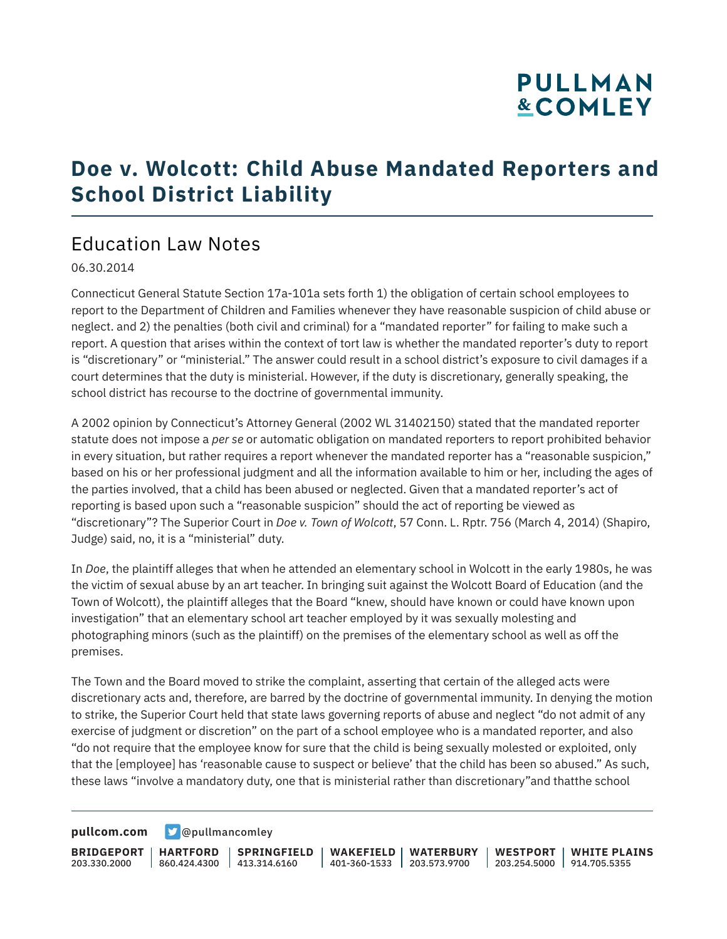## **PULLMAN &COMLEY**

## **Doe v. Wolcott: Child Abuse Mandated Reporters and School District Liability**

## Education Law Notes

06.30.2014

Connecticut General Statute Section 17a-101a sets forth 1) the obligation of certain school employees to report to the Department of Children and Families whenever they have reasonable suspicion of child abuse or neglect. and 2) the penalties (both civil and criminal) for a "mandated reporter" for failing to make such a report. A question that arises within the context of tort law is whether the mandated reporter's duty to report is "discretionary" or "ministerial." The answer could result in a school district's exposure to civil damages if a court determines that the duty is ministerial. However, if the duty is discretionary, generally speaking, the school district has recourse to the doctrine of governmental immunity.

A 2002 opinion by Connecticut's Attorney General (2002 WL 31402150) stated that the mandated reporter statute does not impose a *per se* or automatic obligation on mandated reporters to report prohibited behavior in every situation, but rather requires a report whenever the mandated reporter has a "reasonable suspicion," based on his or her professional judgment and all the information available to him or her, including the ages of the parties involved, that a child has been abused or neglected. Given that a mandated reporter's act of reporting is based upon such a "reasonable suspicion" should the act of reporting be viewed as "discretionary"? The Superior Court in *Doe v. Town of Wolcott*, 57 Conn. L. Rptr. 756 (March 4, 2014) (Shapiro, Judge) said, no, it is a "ministerial" duty.

In *Doe*, the plaintiff alleges that when he attended an elementary school in Wolcott in the early 1980s, he was the victim of sexual abuse by an art teacher. In bringing suit against the Wolcott Board of Education (and the Town of Wolcott), the plaintiff alleges that the Board "knew, should have known or could have known upon investigation" that an elementary school art teacher employed by it was sexually molesting and photographing minors (such as the plaintiff) on the premises of the elementary school as well as off the premises.

The Town and the Board moved to strike the complaint, asserting that certain of the alleged acts were discretionary acts and, therefore, are barred by the doctrine of governmental immunity. In denying the motion to strike, the Superior Court held that state laws governing reports of abuse and neglect "do not admit of any exercise of judgment or discretion" on the part of a school employee who is a mandated reporter, and also "do not require that the employee know for sure that the child is being sexually molested or exploited, only that the [employee] has 'reasonable cause to suspect or believe' that the child has been so abused." As such, these laws "involve a mandatory duty, one that is ministerial rather than discretionary"and thatthe school

**[pullcom.com](https://www.pullcom.com) g** [@pullmancomley](https://twitter.com/PullmanComley)

**BRIDGEPORT** 203.330.2000 **HARTFORD** 860.424.4300 413.314.6160 **SPRINGFIELD WAKEFIELD WATERBURY** 401-360-1533 203.573.9700 **WESTPORT WHITE PLAINS** 203.254.5000 914.705.5355